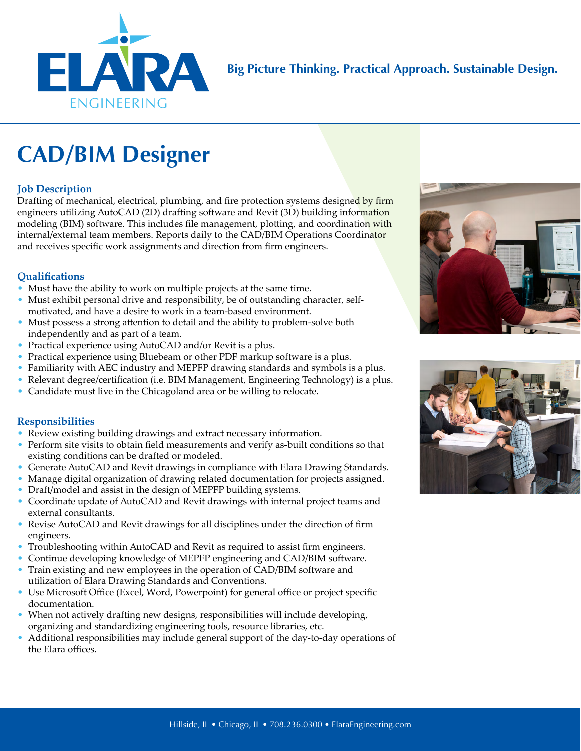

**Big Picture Thinking. Practical Approach. Sustainable Design.**

# **CAD/BIM Designer**

### **Job Description**

Drafting of mechanical, electrical, plumbing, and fire protection systems designed by firm engineers utilizing AutoCAD (2D) drafting software and Revit (3D) building information modeling (BIM) software. This includes file management, plotting, and coordination with internal/external team members. Reports daily to the CAD/BIM Operations Coordinator and receives specific work assignments and direction from firm engineers.

#### **Qualifications**

- Must have the ability to work on multiple projects at the same time.
- Must exhibit personal drive and responsibility, be of outstanding character, selfmotivated, and have a desire to work in a team-based environment.
- Must possess a strong attention to detail and the ability to problem-solve both independently and as part of a team.
- Practical experience using AutoCAD and/or Revit is a plus.
- Practical experience using Bluebeam or other PDF markup software is a plus.
- Familiarity with AEC industry and MEPFP drawing standards and symbols is a plus.
- Relevant degree/certification (i.e. BIM Management, Engineering Technology) is a plus.
- Candidate must live in the Chicagoland area or be willing to relocate.

#### **Responsibilities**

- Review existing building drawings and extract necessary information.
- Perform site visits to obtain field measurements and verify as-built conditions so that existing conditions can be drafted or modeled.
- Generate AutoCAD and Revit drawings in compliance with Elara Drawing Standards.
- Manage digital organization of drawing related documentation for projects assigned.
- Draft/model and assist in the design of MEPFP building systems.
- Coordinate update of AutoCAD and Revit drawings with internal project teams and external consultants.
- Revise AutoCAD and Revit drawings for all disciplines under the direction of firm engineers.
- Troubleshooting within AutoCAD and Revit as required to assist firm engineers.
- Continue developing knowledge of MEPFP engineering and CAD/BIM software.
- Train existing and new employees in the operation of CAD/BIM software and utilization of Elara Drawing Standards and Conventions.
- Use Microsoft Office (Excel, Word, Powerpoint) for general office or project specific documentation.
- When not actively drafting new designs, responsibilities will include developing, organizing and standardizing engineering tools, resource libraries, etc.
- Additional responsibilities may include general support of the day-to-day operations of the Elara offices.